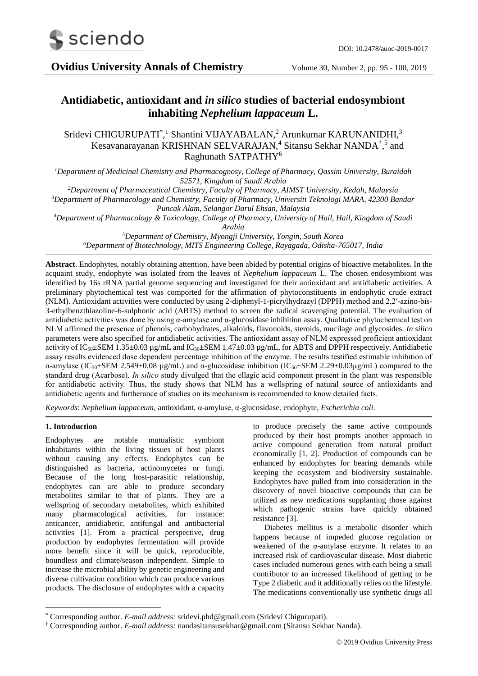

**Ovidius University Annals of Chemistry** Volume 30, Number 2, pp. 95 - 100, 2019

# **Antidiabetic, antioxidant and** *in silico* **studies of bacterial endosymbiont inhabiting** *Nephelium lappaceum* **L.**

Sridevi CHIGURUPATI<sup>\*</sup>,<sup>1</sup> Shantini VIJAYABALAN,<sup>2</sup> Arunkumar KARUNANIDHI,<sup>3</sup> Kesavanarayanan KRISHNAN SELVARAJAN,<sup>4</sup> Sitansu Sekhar NANDA<sup>†</sup>,<sup>5</sup> and Raghunath SATPATHY<sup>6</sup>

*<sup>1</sup>Department of Medicinal Chemistry and Pharmacognosy, College of Pharmacy, Qassim University, Buraidah 52571, Kingdom of Saudi Arabia*

*<sup>2</sup>Department of Pharmaceutical Chemistry, Faculty of Pharmacy, AIMST University, Kedah, Malaysia*

*<sup>3</sup>Department of Pharmacology and Chemistry, Faculty of Pharmacy, Universiti Teknologi MARA, 42300 Bandar Puncak Alam, Selangor Darul Ehsan, Malaysia*

*<sup>4</sup>Department of Pharmacology & Toxicology, College of Pharmacy, University of Hail, Hail, Kingdom of Saudi* 

*Arabia*

*<sup>5</sup>Department of Chemistry, Myongji University, Yongin, South Korea <sup>6</sup>Department of Biotechnology, MITS Engineering College, Rayagada, Odisha-765017, India*

**Abstract**. Endophytes, notably obtaining attention, have been abided by potential origins of bioactive metabolites. In the acquaint study, endophyte was isolated from the leaves of *Nephelium lappaceum* L. The chosen endosymbiont was identified by 16s rRNA partial genome sequencing and investigated for their antioxidant and antidiabetic activities. A preliminary phytochemical test was comported for the affirmation of phytoconstituents in endophytic crude extract (NLM). Antioxidant activities were conducted by using 2-diphenyl-1-picrylhydrazyl (DPPH) method and 2,2′-azino-bis-3-ethylbenzthiazoline-6-sulphonic acid (ABTS) method to screen the radical scavenging potential. The evaluation of antidiabetic activities was done by using α-amylase and α-glucosidase inhibition assay. Qualitative phytochemical test on NLM affirmed the presence of phenols, carbohydrates, alkaloids, flavonoids, steroids, mucilage and glycosides. *In silico* parameters were also specified for antidiabetic activities. The antioxidant assay of NLM expressed proficient antioxidant activity of  $IC_{50} \pm SEM$  1.35 $\pm$ 0.03 µg/mL and  $IC_{50} \pm SEM$  1.47 $\pm$ 0.03 µg/mL, for ABTS and DPPH respectively. Antidiabetic assay results evidenced dose dependent percentage inhibition of the enzyme. The results testified estimable inhibition of α-amylase (IC<sub>50</sub>±SEM 2.549±0.08 μg/mL) and α-glucosidase inhibition (IC<sub>50</sub>±SEM 2.29±0.03μg/mL) compared to the standard drug (Acarbose). *In silico* study divulged that the ellagic acid component present in the plant was responsible for antidiabetic activity. Thus, the study shows that NLM has a wellspring of natural source of antioxidants and antidiabetic agents and furtherance of studies on its mechanism is recommended to know detailed facts.

*Keywords*: *Nephelium lappaceum*, antioxidant, α-amylase, α-glucosidase, endophyte*, Escherichia coli*.

## **1. Introduction**

1

Endophytes are notable mutualistic symbiont inhabitants within the living tissues of host plants without causing any effects. Endophytes can be distinguished as bacteria, actinomycetes or fungi. Because of the long host-parasitic relationship, endophytes can are able to produce secondary metabolites similar to that of plants. They are a wellspring of secondary metabolites, which exhibited many pharmacological activities, for instance: anticancer, antidiabetic, antifungal and antibacterial activities [1]. From a practical perspective, drug production by endophytes fermentation will provide more benefit since it will be quick, reproducible, boundless and climate/season independent. Simple to increase the microbial ability by genetic engineering and diverse cultivation condition which can produce various products. The disclosure of endophytes with a capacity

to produce precisely the same active compounds produced by their host prompts another approach in active compound generation from natural product economically [1, 2]. Production of compounds can be enhanced by endophytes for bearing demands while keeping the ecosystem and biodiversity sustainable. Endophytes have pulled from into consideration in the discovery of novel bioactive compounds that can be utilized as new medications supplanting those against which pathogenic strains have quickly obtained resistance [3].

Diabetes mellitus is a metabolic disorder which happens because of impeded glucose regulation or weakened of the α-amylase enzyme. It relates to an increased risk of cardiovascular disease. Most diabetic cases included numerous genes with each being a small contributor to an increased likelihood of getting to be Type 2 diabetic and it additionally relies on the lifestyle. The medications conventionally use synthetic drugs all

<sup>\*</sup> Corresponding author. *E-mail address:* sridevi.phd@gmail.com (Sridevi Chigurupati).

<sup>†</sup> Corresponding author. *E-mail address:* nandasitansusekhar@gmail.com (Sitansu Sekhar Nanda).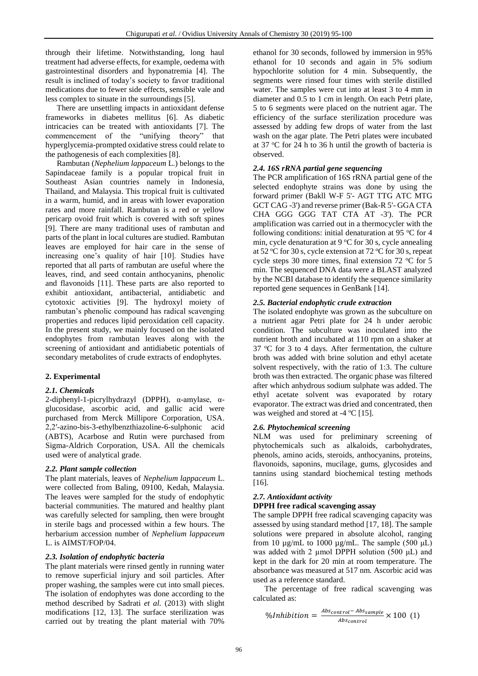through their lifetime. Notwithstanding, long haul treatment had adverse effects, for example, oedema with gastrointestinal disorders and hyponatremia [4]. The result is inclined of today's society to favor traditional medications due to fewer side effects, sensible vale and less complex to situate in the surroundings [5].

There are unsettling impacts in antioxidant defense frameworks in diabetes mellitus [6]. As diabetic intricacies can be treated with antioxidants [7]. The commencement of the "unifying theory" that hyperglycemia-prompted oxidative stress could relate to the pathogenesis of each complexities [8].

Rambutan (*Nephelium lappaceum* L.) belongs to the Sapindaceae family is a popular tropical fruit in Southeast Asian countries namely in Indonesia, Thailand, and Malaysia. This tropical fruit is cultivated in a warm, humid, and in areas with lower evaporation rates and more rainfall. Rambutan is a red or yellow pericarp ovoid fruit which is covered with soft spines [9]. There are many traditional uses of rambutan and parts of the plant in local cultures are studied. Rambutan leaves are employed for hair care in the sense of increasing one's quality of hair [10]. Studies have reported that all parts of rambutan are useful where the leaves, rind, and seed contain anthocyanins, phenolic and flavonoids [11]. These parts are also reported to exhibit antioxidant, antibacterial, antidiabetic and cytotoxic activities [9]. The hydroxyl moiety of rambutan's phenolic compound has radical scavenging properties and reduces lipid peroxidation cell capacity. In the present study, we mainly focused on the isolated endophytes from rambutan leaves along with the screening of antioxidant and antidiabetic potentials of secondary metabolites of crude extracts of endophytes.

## **2. Experimental**

### *2.1. Chemicals*

2-diphenyl-1-picrylhydrazyl (DPPH), α-amylase, αglucosidase, ascorbic acid, and gallic acid were purchased from Merck Millipore Corporation, USA. 2,2′-azino-bis-3-ethylbenzthiazoline-6-sulphonic acid (ABTS), Acarbose and Rutin were purchased from Sigma-Aldrich Corporation, USA. All the chemicals used were of analytical grade.

### *2.2. Plant sample collection*

The plant materials, leaves of *Nephelium lappaceum* L. were collected from Baling, 09100, Kedah, Malaysia. The leaves were sampled for the study of endophytic bacterial communities. The matured and healthy plant was carefully selected for sampling, then were brought in sterile bags and processed within a few hours. The herbarium accession number of *Nephelium lappaceum*  L. is AIMST/FOP/04.

### *2.3. Isolation of endophytic bacteria*

The plant materials were rinsed gently in running water to remove superficial injury and soil particles. After proper washing, the samples were cut into small pieces. The isolation of endophytes was done according to the method described by Sadrati *et al.* (2013) with slight modifications [12, 13]. The surface sterilization was carried out by treating the plant material with 70%

ethanol for 30 seconds, followed by immersion in 95% ethanol for 10 seconds and again in 5% sodium hypochlorite solution for 4 min. Subsequently, the segments were rinsed four times with sterile distilled water. The samples were cut into at least 3 to 4 mm in diameter and 0.5 to 1 cm in length. On each Petri plate, 5 to 6 segments were placed on the nutrient agar. The efficiency of the surface sterilization procedure was assessed by adding few drops of water from the last wash on the agar plate. The Petri plates were incubated at 37  $\degree$ C for 24 h to 36 h until the growth of bacteria is observed.

### *2.4. 16S rRNA partial gene sequencing*

The PCR amplification of 16S rRNA partial gene of the selected endophyte strains was done by using the forward primer (Bakll W-F 5'- AGT TTG ATC MTG GCT CAG -3') and reverse primer (Bak-R 5'- GGA CTA CHA GGG GGG TAT CTA AT -3'). The PCR amplification was carried out in a thermocycler with the following conditions: initial denaturation at 95  $\mathrm{^{\circ}C}$  for 4 min, cycle denaturation at 9  $\rm{°C}$  for 30 s, cycle annealing at 52  $\mathrm{^{\circ}C}$  for 30 s, cycle extension at 72  $\mathrm{^{\circ}C}$  for 30 s, repeat cycle steps 30 more times, final extension 72  $\degree$ C for 5 min. The sequenced DNA data were a BLAST analyzed by the NCBI database to identify the sequence similarity reported gene sequences in GenBank [14].

### *2.5. Bacterial endophytic crude extraction*

The isolated endophyte was grown as the subculture on a nutrient agar Petri plate for 24 h under aerobic condition. The subculture was inoculated into the nutrient broth and incubated at 110 rpm on a shaker at  $37 \text{ °C}$  for 3 to 4 days. After fermentation, the culture broth was added with brine solution and ethyl acetate solvent respectively, with the ratio of 1:3. The culture broth was then extracted. The organic phase was filtered after which anhydrous sodium sulphate was added. The ethyl acetate solvent was evaporated by rotary evaporator. The extract was dried and concentrated, then was weighed and stored at -4 °C [15].

### *2.6. Phytochemical screening*

NLM was used for preliminary screening of phytochemicals such as alkaloids, carbohydrates, phenols, amino acids, steroids, anthocyanins, proteins, flavonoids, saponins, mucilage, gums, glycosides and tannins using standard biochemical testing methods [16].

### *2.7. Antioxidant activity*

### **DPPH free radical scavenging assay**

The sample DPPH free radical scavenging capacity was assessed by using standard method [17, 18]. The sample solutions were prepared in absolute alcohol, ranging from 10  $\mu$ g/mL to 1000  $\mu$ g/mL. The sample (500  $\mu$ L) was added with 2  $\mu$ mol DPPH solution (500  $\mu$ L) and kept in the dark for 20 min at room temperature. The absorbance was measured at 517 nm. Ascorbic acid was used as a reference standard.

The percentage of free radical scavenging was calculated as:

$$
\% Inhibition = \frac{Abs_{control} - Abs_{sample}}{Abs_{control}} \times 100 \text{ (1)}
$$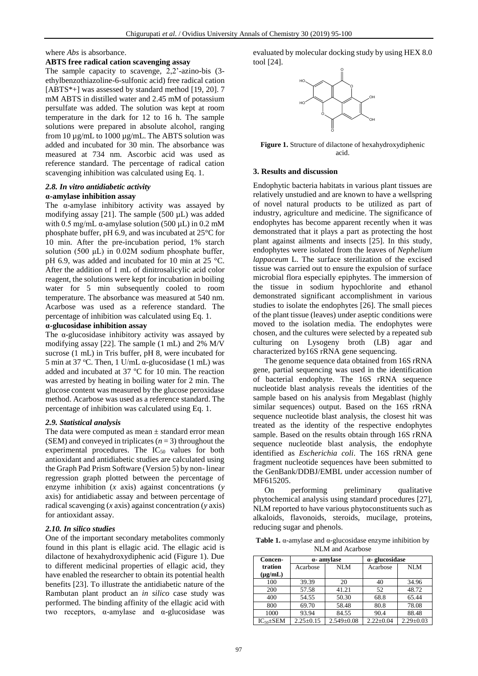where *Abs* is absorbance.

### **ABTS free radical cation scavenging assay**

The sample capacity to scavenge, 2,2'-azino-bis (3 ethylbenzothiazoline-6-sulfonic acid) free radical cation [ABTS\*+] was assessed by standard method [19, 20]. 7 mM ABTS in distilled water and 2.45 mM of potassium persulfate was added. The solution was kept at room temperature in the dark for 12 to 16 h. The sample solutions were prepared in absolute alcohol, ranging from 10 µg/mL to 1000 µg/mL. The ABTS solution was added and incubated for 30 min. The absorbance was measured at 734 nm. Ascorbic acid was used as reference standard. The percentage of radical cation scavenging inhibition was calculated using Eq. 1.

# *2.8. In vitro antidiabetic activity*

## **α-amylase inhibition assay**

The α-amylase inhibitory activity was assayed by modifying assay [21]. The sample (500 µL) was added with 0.5 mg/mL  $\alpha$ -amylase solution (500 µL) in 0.2 mM phosphate buffer, pH 6.9, and was incubated at 25°C for 10 min. After the pre-incubation period, 1% starch solution (500 μL) in 0.02M sodium phosphate buffer, pH 6.9, was added and incubated for 10 min at 25 °C. After the addition of 1 mL of dinitrosalicylic acid color reagent, the solutions were kept for incubation in boiling water for 5 min subsequently cooled to room temperature. The absorbance was measured at 540 nm. Acarbose was used as a reference standard. The percentage of inhibition was calculated using Eq. 1.

## **α-glucosidase inhibition assay**

The α-glucosidase inhibitory activity was assayed by modifying assay [22]. The sample (1 mL) and 2% M/V sucrose (1 mL) in Tris buffer, pH 8, were incubated for 5 min at 37 °C. Then, 1 U/mL  $\alpha$ -glucosidase (1 mL) was added and incubated at  $37 \text{ °C}$  for 10 min. The reaction was arrested by heating in boiling water for 2 min. The glucose content was measured by the glucose peroxidase method. Acarbose was used as a reference standard. The percentage of inhibition was calculated using Eq. 1.

### *2.9. Statistical analysis*

The data were computed as mean  $\pm$  standard error mean (SEM) and conveyed in triplicates (*n* = 3) throughout the experimental procedures. The  $IC_{50}$  values for both antioxidant and antidiabetic studies are calculated using the Graph Pad Prism Software (Version 5) by non- linear regression graph plotted between the percentage of enzyme inhibition (*x* axis) against concentrations (*y* axis) for antidiabetic assay and between percentage of radical scavenging (*x* axis) against concentration (*y* axis) for antioxidant assay.

### *2.10. In silico studies*

One of the important secondary metabolites commonly found in this plant is ellagic acid. The ellagic acid is dilactone of hexahydroxydiphenic acid (Figure 1). Due to different medicinal properties of ellagic acid, they have enabled the researcher to obtain its potential health benefits [23]. To illustrate the antidiabetic nature of the Rambutan plant product an *in silico* case study was performed. The binding affinity of the ellagic acid with two receptors,  $\alpha$ -amylase and  $\alpha$ -glucosidase was evaluated by molecular docking study by using HEX 8.0 tool [24].



**Figure 1.** Structure of dilactone of hexahydroxydiphenic acid.

### **3. Results and discussion**

Endophytic bacteria habitats in various plant tissues are relatively unstudied and are known to have a wellspring of novel natural products to be utilized as part of industry, agriculture and medicine. The significance of endophytes has become apparent recently when it was demonstrated that it plays a part as protecting the host plant against ailments and insects [25]. In this study, endophytes were isolated from the leaves of *Nephelium lappaceum* L. The surface sterilization of the excised tissue was carried out to ensure the expulsion of surface microbial flora especially epiphytes. The immersion of the tissue in sodium hypochlorite and ethanol demonstrated significant accomplishment in various studies to isolate the endophytes [26]. The small pieces of the plant tissue (leaves) under aseptic conditions were moved to the isolation media. The endophytes were chosen, and the cultures were selected by a repeated sub culturing on Lysogeny broth (LB) agar and characterized by16S rRNA gene sequencing. **Figure 1.** Structure of dilactone of hexahydroxydiphenic<br> **Results and discussion**<br> **Results and discussion**<br> **Results and discussion**<br> **Results and discussion**<br> **Results and discussion**<br> **Results and discussions**<br> **Resu** 

The genome sequence data obtained from 16S rRNA gene, partial sequencing was used in the identification of bacterial endophyte. The 16S rRNA sequence nucleotide blast analysis reveals the identities of the sample based on his analysis from Megablast (highly similar sequences) output. Based on the 16S rRNA sequence nucleotide blast analysis, the closest hit was treated as the identity of the respective endophytes sample. Based on the results obtain through 16S rRNA sequence nucleotide blast analysis, the endophyte identified as *Escherichia coli*. The 16S rRNA gene fragment nucleotide sequences have been submitted to the GenBank/DDBJ/EMBL under accession number of MF615205.

On performing preliminary qualitative phytochemical analysis using standard procedures [27], NLM reported to have various phytoconstituents such as alkaloids, flavonoids, steroids, mucilage, proteins, reducing sugar and phenols.

**Table 1.** α-amylase and α-glucosidase enzyme inhibition by NLM and Acarbose

| Concen-           | α- amvlase      |                  | $\alpha$ - glucosidase |                 |
|-------------------|-----------------|------------------|------------------------|-----------------|
| tration           | Acarbose        | NLM              | Acarbose               | NLM             |
| $(\mu g/mL)$      |                 |                  |                        |                 |
| 100               | 39.39           | 20               | 40                     | 34.96           |
| 200               | 57.58           | 41.21            | 52                     | 48.72           |
| 400               | 54.55           | 50.30            | 68.8                   | 65.44           |
| 800               | 69.70           | 58.48            | 80.8                   | 78.08           |
| 1000              | 93.94           | 84.55            | 90.4                   | 88.48           |
| $IC_{50} \pm SEM$ | $2.25 \pm 0.15$ | $2.549 \pm 0.08$ | $2.22 \pm 0.04$        | $2.29 \pm 0.03$ |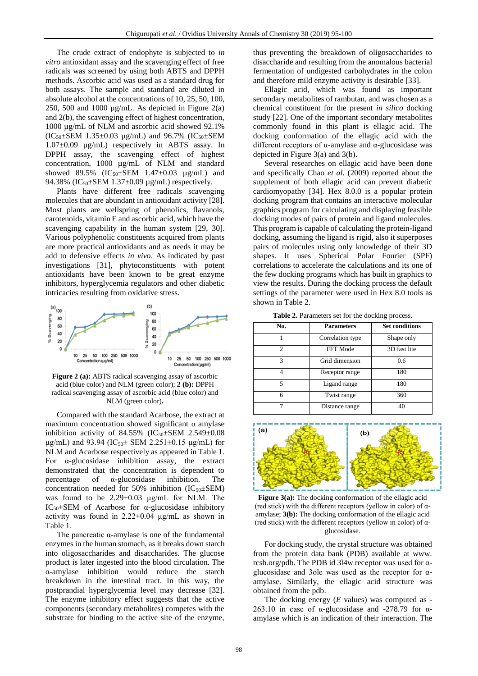The crude extract of endophyte is subjected to *in vitro* antioxidant assay and the scavenging effect of free radicals was screened by using both ABTS and DPPH methods. Ascorbic acid was used as a standard drug for both assays. The sample and standard are diluted in absolute alcohol at the concentrations of 10, 25, 50, 100, 250, 500 and 1000  $\mu$ g/mL. As depicted in Figure 2(a) and 2(b), the scavenging effect of highest concentration, 1000 µg/mL of NLM and ascorbic acid showed 92.1%  $(IC_{50} \pm SEM \ 1.35 \pm 0.03 \ \mu g/mL)$  and 96.7%  $(IC_{50} \pm SEM \$ 1.07±0.09 µg/mL) respectively in ABTS assay. In DPPH assay, the scavenging effect of highest concentration, 1000 µg/mL of NLM and standard showed 89.5% ( $IC_{50} \pm SEM$  1.47 $\pm 0.03$   $\mu$ g/mL) and 94.38% ( $IC_{50} \pm SEM \ 1.37 \pm 0.09 \ \mu g/mL$ ) respectively.

Plants have different free radicals scavenging molecules that are abundant in antioxidant activity [28]. Most plants are wellspring of phenolics, flavanols, carotenoids, vitamin E and ascorbic acid, which have the scavenging capability in the human system [29, 30]. Various polyphenolic constituents acquired from plants are more practical antioxidants and as needs it may be add to defensive effects *in vivo*. As indicated by past investigations [31], phytoconstituents with potent antioxidants have been known to be great enzyme inhibitors, hyperglycemia regulators and other diabetic intricacies resulting from oxidative stress.



**Figure 2 (a):** ABTS radical scavenging assay of ascorbic acid (blue color) and NLM (green color); **2 (b):** DPPH radical scavenging assay of ascorbic acid (blue color) and NLM (green color)**.**

Compared with the standard Acarbose, the extract at maximum concentration showed significant  $\alpha$  amylase inhibition activity of 84.55% (IC<sub>50</sub>±SEM 2.549±0.08 μg/mL) and 93.94 (IC<sub>50</sub>± SEM 2.251±0.15 μg/mL) for NLM and Acarbose respectively as appeared in Table 1. For α-glucosidase inhibition assay, the extract demonstrated that the concentration is dependent to percentage of α-glucosidase inhibition. The concentration needed for 50% inhibition  $(IC_{50} \pm SEM)$ was found to be 2.29±0.03 μg/mL for NLM. The IC<sub>50</sub> $\pm$ SEM of Acarbose for α-glucosidase inhibitory activity was found in  $2.22 \pm 0.04$  μg/mL as shown in Table 1.

The pancreatic  $\alpha$ -amylase is one of the fundamental enzymes in the human stomach, as it breaks down starch into oligosaccharides and disaccharides. The glucose product is later ingested into the blood circulation. The α-amylase inhibition would reduce the starch breakdown in the intestinal tract. In this way, the postprandial hyperglycemia level may decrease [32]. The enzyme inhibitory effect suggests that the active components (secondary metabolites) competes with the substrate for binding to the active site of the enzyme,

thus preventing the breakdown of oligosaccharides to disaccharide and resulting from the anomalous bacterial fermentation of undigested carbohydrates in the colon and therefore mild enzyme activity is desirable [33].

Ellagic acid, which was found as important secondary metabolites of rambutan, and was chosen as a chemical constituent for the present *in silico* docking study [22]. One of the important secondary metabolites commonly found in this plant is ellagic acid. The docking conformation of the ellagic acid with the different receptors of  $\alpha$ -amylase and  $\alpha$ -glucosidase was depicted in Figure 3(a) and 3(b).

Several researches on ellagic acid have been done and specifically Chao *et al*. (2009) reported about the supplement of both ellagic acid can prevent diabetic cardiomyopathy [34]. Hex 8.0.0 is a popular protein docking program that contains an interactive molecular graphics program for calculating and displaying feasible docking modes of pairs of protein and ligand molecules. This program is capable of calculating the protein-ligand docking, assuming the ligand is rigid, also it superposes pairs of molecules using only knowledge of their 3D shapes. It uses Spherical Polar Fourier (SPF) correlations to accelerate the calculations and its one of the few docking programs which has built in graphics to view the results. During the docking process the default settings of the parameter were used in Hex 8.0 tools as shown in Table 2.

**Table 2.** Parameters set for the docking process.

| No.           | <b>Parameters</b> | <b>Set conditions</b> |
|---------------|-------------------|-----------------------|
|               | Correlation type  | Shape only            |
| $\mathcal{D}$ | FFT Mode          | 3D fast lite          |
| 3             | Grid dimension    | 0.6                   |
|               | Receptor range    | 180                   |
| 5             | Ligand range      | 180                   |
| 6             | Twist range       | 360                   |
|               | Distance range    | 40                    |



**Figure** 3(a): The docking conformation of the ellagic acid (red stick) with the different receptors (yellow in color) of  $\alpha$ amylase; **3(b):** The docking conformation of the ellagic acid (red stick) with the different receptors (yellow in color) of  $\alpha$ glucosidase.

For docking study, the crystal structure was obtained from the protein data bank (PDB) available at www. rcsb.org/pdb. The PDB id 3l4w receptor was used for αglucosidase and 3ole was used as the receptor for αamylase. Similarly, the ellagic acid structure was obtained from the pdb.

The docking energy (*E* values) was computed as - 263.10 in case of  $\alpha$ -glucosidase and -278.79 for  $\alpha$ amylase which is an indication of their interaction. The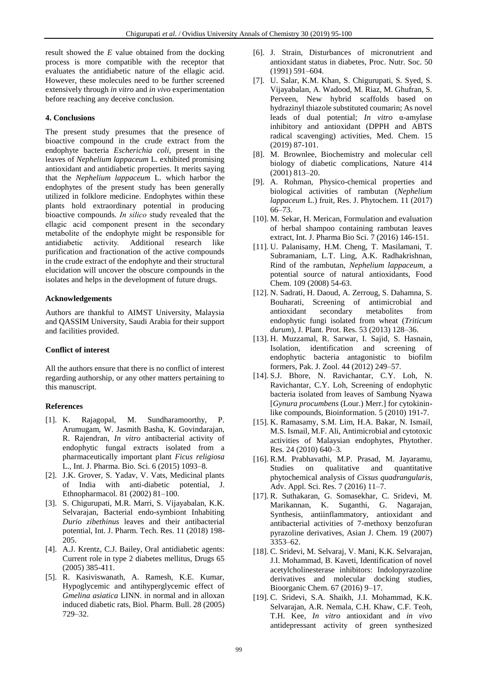result showed the *E* value obtained from the docking process is more compatible with the receptor that evaluates the antidiabetic nature of the ellagic acid. However, these molecules need to be further screened extensively through *in vitro* and *in vivo* experimentation before reaching any deceive conclusion.

### **4. Conclusions**

The present study presumes that the presence of bioactive compound in the crude extract from the endophyte bacteria *Escherichia coli,* present in the leaves of *Nephelium lappaceum* L. exhibited promising antioxidant and antidiabetic properties*.* It merits saying that the *Nephelium lappaceum* L. which harbor the endophytes of the present study has been generally utilized in folklore medicine. Endophytes within these plants hold extraordinary potential in producing bioactive compounds*. In silico* study revealed that the ellagic acid component present in the secondary metabolite of the endophyte might be responsible for antidiabetic activity. Additional research like purification and fractionation of the active compounds in the crude extract of the endophyte and their structural elucidation will uncover the obscure compounds in the isolates and helps in the development of future drugs.

### **Acknowledgements**

Authors are thankful to AIMST University, Malaysia and QASSIM University, Saudi Arabia for their support and facilities provided.

### **Conflict of interest**

All the authors ensure that there is no conflict of interest regarding authorship, or any other matters pertaining to this manuscript.

### **References**

- [1]. K. Rajagopal, M. Sundharamoorthy, P. Arumugam, W. Jasmith Basha, K. Govindarajan, R. Rajendran, *In vitro* antibacterial activity of endophytic fungal extracts isolated from a pharmaceutically important plant *Ficus religiosa* L., Int. J. Pharma. Bio. Sci. 6 (2015) 1093–8.
- [2]. J.K. Grover, S. Yadav, V. Vats, Medicinal plants of India with anti-diabetic potential, J. Ethnopharmacol. 81 (2002) 81–100.
- [3]. S. Chigurupati, M.R. Marri, S. Vijayabalan, K.K. Selvarajan, Bacterial endo-symbiont Inhabiting *Durio zibethinus* leaves and their antibacterial potential, Int. J. Pharm. Tech. Res. 11 (2018) 198- 205.
- [4]. A.J. Krentz, C.J. Bailey, Oral antidiabetic agents: Current role in type 2 diabetes mellitus, Drugs 65 (2005) 385-411.
- [5]. R. Kasiviswanath, A. Ramesh, K.E. Kumar, Hypoglycemic and antihyperglycemic effect of *Gmelina asiatica* LINN. in normal and in alloxan induced diabetic rats, Biol. Pharm. Bull. 28 (2005) 729–32.
- [6]. J. Strain, Disturbances of micronutrient and antioxidant status in diabetes, Proc. Nutr. Soc. 50 (1991) 591–604.
- [7]. U. Salar, K.M. Khan, S. Chigurupati, S. Syed, S. Vijayabalan, A. Wadood, M. Riaz, M. Ghufran, S. Perveen, New hybrid scaffolds based on hydrazinyl thiazole substituted coumarin; As novel leads of dual potential; *In vitro* α-amylase inhibitory and antioxidant (DPPH and ABTS radical scavenging) activities, Med. Chem. 15 (2019) 87-101.
- [8]. M. Brownlee, Biochemistry and molecular cell biology of diabetic complications, Nature 414 (2001) 813–20.
- [9]. A. Rohman, Physico-chemical properties and biological activities of rambutan (*Nephelium lappaceum* L.) fruit, Res. J. Phytochem. 11 (2017) 66–73.
- [10]. M. Sekar, H. Merican, Formulation and evaluation of herbal shampoo containing rambutan leaves extract, Int. J. Pharma Bio Sci. 7 (2016) 146-151.
- [11]. U. Palanisamy, H.M. Cheng, T. Masilamani, T. Subramaniam, L.T. Ling, A.K. Radhakrishnan, Rind of the rambutan, *Nephelium lappaceum*, a potential source of natural antioxidants, Food Chem. 109 (2008) 54-63.
- [12]. N. Sadrati, H. Daoud, A. Zerroug, S. Dahamna, S. Bouharati, Screening of antimicrobial and antioxidant secondary metabolites from endophytic fungi isolated from wheat (*Triticum durum*), J. Plant. Prot. Res. 53 (2013) 128–36.
- [13]. H. Muzzamal, R. Sarwar, I. Sajid, S. Hasnain, Isolation, identification and screening of endophytic bacteria antagonistic to biofilm formers, Pak. J. Zool. 44 (2012) 249–57.
- [14]. S.J. Bhore, N. Ravichantar, C.Y. Loh, N. Ravichantar, C.Y. Loh, Screening of endophytic bacteria isolated from leaves of Sambung Nyawa [*Gynura procumbens* (Lour.) Merr.] for cytokininlike compounds, Bioinformation. 5 (2010) 191-7.
- [15]. K. Ramasamy, S.M. Lim, H.A. Bakar, N. Ismail, M.S. Ismail, M.F. Ali, Antimicrobial and cytotoxic activities of Malaysian endophytes, Phytother. Res. 24 (2010) 640–3.
- [16]. R.M. Prabhavathi, M.P. Prasad, M. Jayaramu, Studies on qualitative and quantitative phytochemical analysis of *Cissus quadrangularis*, Adv. Appl. Sci. Res. 7 (2016) 11–7.
- [17]. R. Suthakaran, G. Somasekhar, C. Sridevi, M. Marikannan, K. Suganthi, G. Nagarajan, Synthesis, antiinflammatory, antioxidant and antibacterial activities of 7-methoxy benzofuran pyrazoline derivatives, Asian J. Chem. 19 (2007) 3353–62.
- [18]. C. Sridevi, M. Selvaraj, V. Mani, K.K. Selvarajan, J.I. Mohammad, B. Kaveti, Identification of novel acetylcholinesterase inhibitors: Indolopyrazoline derivatives and molecular docking studies, Bioorganic Chem. 67 (2016) 9–17.
- [19]. C. Sridevi, S.A. Shaikh, J.I. Mohammad, K.K. Selvarajan, A.R. Nemala, C.H. Khaw, C.F. Teoh, T.H. Kee, *In vitro* antioxidant and *in vivo* antidepressant activity of green synthesized